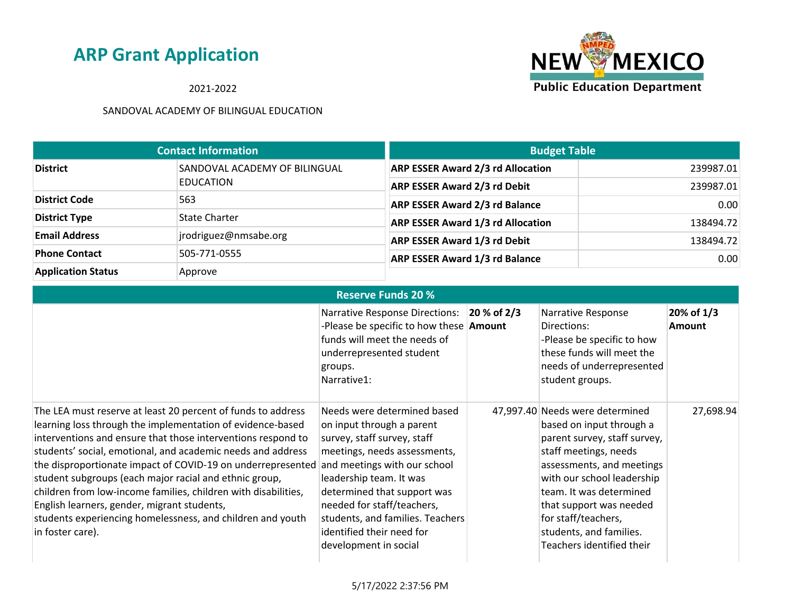**NEW MEXICO Public Education Department** 

2021-2022

|                           | <b>Contact Information</b>    | <b>Budget Table</b>                      |           |
|---------------------------|-------------------------------|------------------------------------------|-----------|
| <b>District</b>           | SANDOVAL ACADEMY OF BILINGUAL | <b>ARP ESSER Award 2/3 rd Allocation</b> | 239987.01 |
|                           | EDUCATION                     | <b>ARP ESSER Award 2/3 rd Debit</b>      | 239987.01 |
| <b>District Code</b>      | 563                           | <b>ARP ESSER Award 2/3 rd Balance</b>    | 0.00      |
| <b>District Type</b>      | <b>State Charter</b>          | <b>ARP ESSER Award 1/3 rd Allocation</b> | 138494.72 |
| <b>Email Address</b>      | jrodriguez@nmsabe.org         | <b>ARP ESSER Award 1/3 rd Debit</b>      | 138494.72 |
| <b>Phone Contact</b>      | 505-771-0555                  | <b>ARP ESSER Award 1/3 rd Balance</b>    | 0.00      |
| <b>Application Status</b> | Approve                       |                                          |           |

| <b>Reserve Funds 20 %</b>                                                                                                                                                                                                                                                                                                                                                                                                                                                                                                                                                             |                                                                                                                                                                                                                                                                                                                                           |                |                                                                                                                                                                                                                                                                                                                      |                             |
|---------------------------------------------------------------------------------------------------------------------------------------------------------------------------------------------------------------------------------------------------------------------------------------------------------------------------------------------------------------------------------------------------------------------------------------------------------------------------------------------------------------------------------------------------------------------------------------|-------------------------------------------------------------------------------------------------------------------------------------------------------------------------------------------------------------------------------------------------------------------------------------------------------------------------------------------|----------------|----------------------------------------------------------------------------------------------------------------------------------------------------------------------------------------------------------------------------------------------------------------------------------------------------------------------|-----------------------------|
|                                                                                                                                                                                                                                                                                                                                                                                                                                                                                                                                                                                       | <b>Narrative Response Directions:</b><br>-Please be specific to how these <b>Amount</b><br>funds will meet the needs of<br>underrepresented student<br>groups.<br>Narrative1:                                                                                                                                                             | $ 20 %$ of 2/3 | Narrative Response<br>Directions:<br>-Please be specific to how<br>these funds will meet the<br>needs of underrepresented<br>student groups.                                                                                                                                                                         | 20% of 1/3<br><b>Amount</b> |
| The LEA must reserve at least 20 percent of funds to address<br>learning loss through the implementation of evidence-based<br>interventions and ensure that those interventions respond to<br>students' social, emotional, and academic needs and address<br>the disproportionate impact of COVID-19 on underrepresented<br>student subgroups (each major racial and ethnic group,<br>children from low-income families, children with disabilities,<br>English learners, gender, migrant students,<br>students experiencing homelessness, and children and youth<br>in foster care). | Needs were determined based<br>on input through a parent<br>survey, staff survey, staff<br>meetings, needs assessments,<br>and meetings with our school<br>leadership team. It was<br>determined that support was<br>needed for staff/teachers,<br>students, and families. Teachers<br>identified their need for<br>development in social |                | 47,997.40 Needs were determined<br>based on input through a<br>parent survey, staff survey,<br>staff meetings, needs<br>assessments, and meetings<br>with our school leadership<br>team. It was determined<br>that support was needed<br>for staff/teachers,<br>students, and families.<br>Teachers identified their | 27,698.94                   |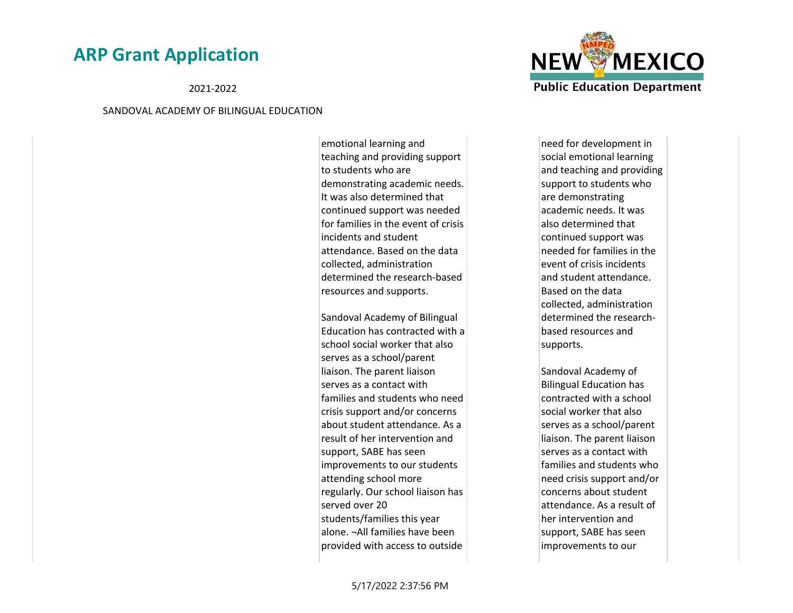2021-2022

#### SANDOVAL ACADEMY OF BILINGUAL EDUCATION

emotional learning and teaching and providing support to students who are demonstrating academic needs. It was also determined that continued support was needed for families in the event of crisis incidents and student attendance. Based on the data collected, administration determined the research-based resources and supports.

Sandoval Academy of Bilingual Education has contracted with a school social worker that also serves as a school/parent liaison. The parent liaison serves as a contact with families and students who need crisis support and/or concerns about student attendance. As a result of her intervention and support, SABE has seen improvements to our students attending school more regularly. Our school liaison has served over 20 students/families this year alone. ¬All families have been provided with access to outside



need for development in social emotional learning and teaching and providing support to students who are demonstrating academic needs. It was also determined that continued support was needed for families in the event of crisis incidents and student attendance. Based on the data collected, administration determined the researchbased resources and supports.

Sandoval Academy of Bilingual Education has contracted with a school social worker that also serves as a school/parent liaison. The parent liaison serves as a contact with families and students who need crisis support and/or concerns about student attendance. As a result of her intervention and support, SABE has seen improvements to our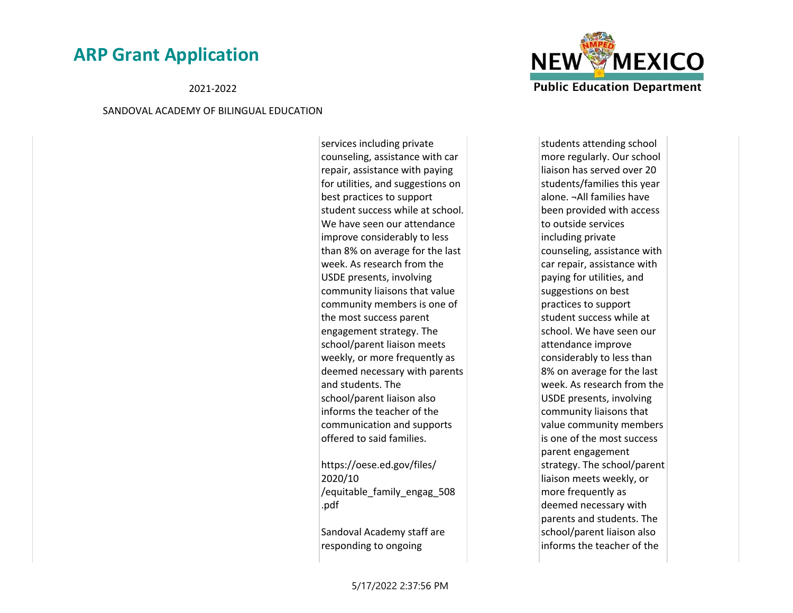2021-2022

#### SANDOVAL ACADEMY OF BILINGUAL EDUCATION

services including private counseling, assistance with car repair, assistance with paying for utilities, and suggestions on best practices to support student success while at school. We have seen our attendance improve considerably to less than 8% on average for the last week. As research from the USDE presents, involving community liaisons that value community members is one of the most success parent engagement strategy. The school/parent liaison meets weekly, or more frequently as deemed necessary with parents and students. The school/parent liaison also informs the teacher of the communication and supports offered to said families.

https://oese.ed.gov/files/ 2020/10 /equitable\_family\_engag\_508 .pdf

Sandoval Academy staff are responding to ongoing



students attending school more regularly. Our school liaison has served over 20 students/families this year alone. ¬All families have been provided with access to outside services including private counseling, assistance with car repair, assistance with paying for utilities, and suggestions on best practices to support student success while at school. We have seen our attendance improve considerably to less than 8% on average for the last week. As research from the USDE presents, involving community liaisons that value community members is one of the most success parent engagement strategy. The school/parent liaison meets weekly, or more frequently as deemed necessary with parents and students. The school/parent liaison also informs the teacher of the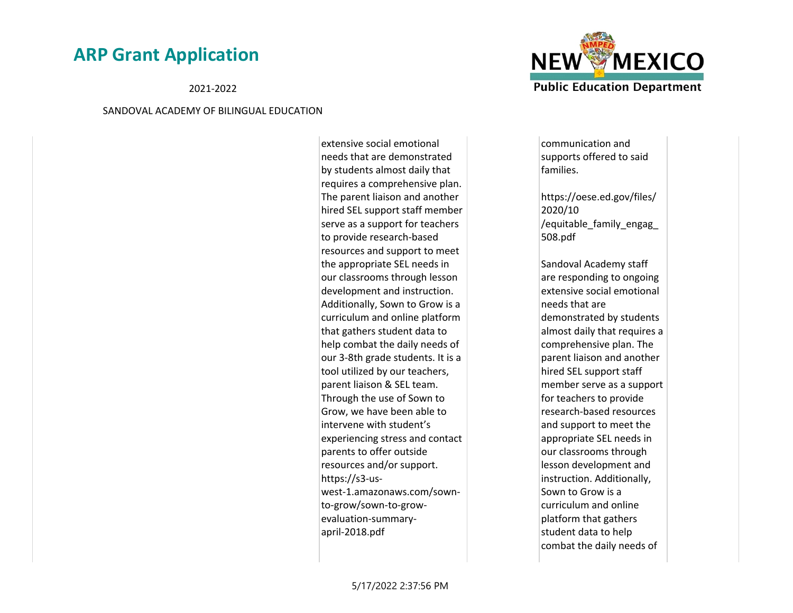2021-2022

#### SANDOVAL ACADEMY OF BILINGUAL EDUCATION

extensive social emotional needs that are demonstrated by students almost daily that requires a comprehensive plan. The parent liaison and another hired SEL support staff member serve as a support for teachers to provide research-based resources and support to meet the appropriate SEL needs in our classrooms through lesson development and instruction. Additionally, Sown to Grow is a curriculum and online platform that gathers student data to help combat the daily needs of our 3-8th grade students. It is a tool utilized by our teachers, parent liaison & SEL team. Through the use of Sown to Grow, we have been able to intervene with student's experiencing stress and contact parents to offer outside resources and/or support. https://s3-uswest-1.amazonaws.com/sownto-grow/sown-to-growevaluation-summaryapril-2018.pdf



communication and supports offered to said families.

https://oese.ed.gov/files/ 2020/10 /equitable\_family\_engag\_ 508.pdf

Sandoval Academy staff are responding to ongoing extensive social emotional needs that are demonstrated by students almost daily that requires a comprehensive plan. The parent liaison and another hired SEL support staff member serve as a support for teachers to provide research-based resources and support to meet the appropriate SEL needs in our classrooms through lesson development and instruction. Additionally, Sown to Grow is a curriculum and online platform that gathers student data to help combat the daily needs of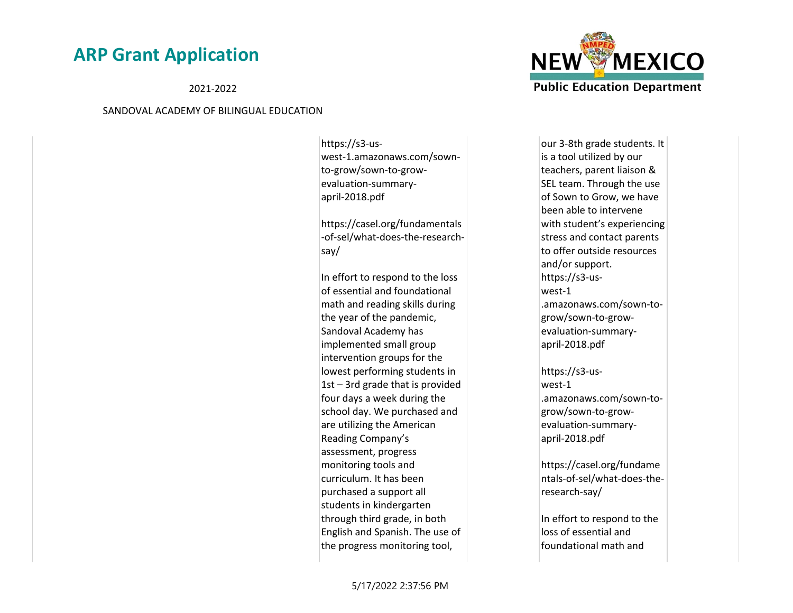2021-2022

#### SANDOVAL ACADEMY OF BILINGUAL EDUCATION

https://s3-uswest-1.amazonaws.com/sownto-grow/sown-to-growevaluation-summaryapril-2018.pdf

https://casel.org/fundamentals -of-sel/what-does-the-researchsay/

In effort to respond to the loss of essential and foundational math and reading skills during the year of the pandemic, Sandoval Academy has implemented small group intervention groups for the lowest performing students in 1st – 3rd grade that is provided four days a week during the school day. We purchased and are utilizing the American Reading Company's assessment, progress monitoring tools and curriculum. It has been purchased a support all students in kindergarten through third grade, in both English and Spanish. The use of the progress monitoring tool,



our 3-8th grade students. It is a tool utilized by our teachers, parent liaison & SEL team. Through the use of Sown to Grow, we have been able to intervene with student's experiencing stress and contact parents to offer outside resources and/or support. https://s3-uswest-1 .amazonaws.com/sown-togrow/sown-to-growevaluation-summaryapril-2018.pdf

https://s3-uswest-1 .amazonaws.com/sown-togrow/sown-to-growevaluation-summaryapril-2018.pdf

https://casel.org/fundame ntals-of-sel/what-does-theresearch-say/

In effort to respond to the loss of essential and foundational math and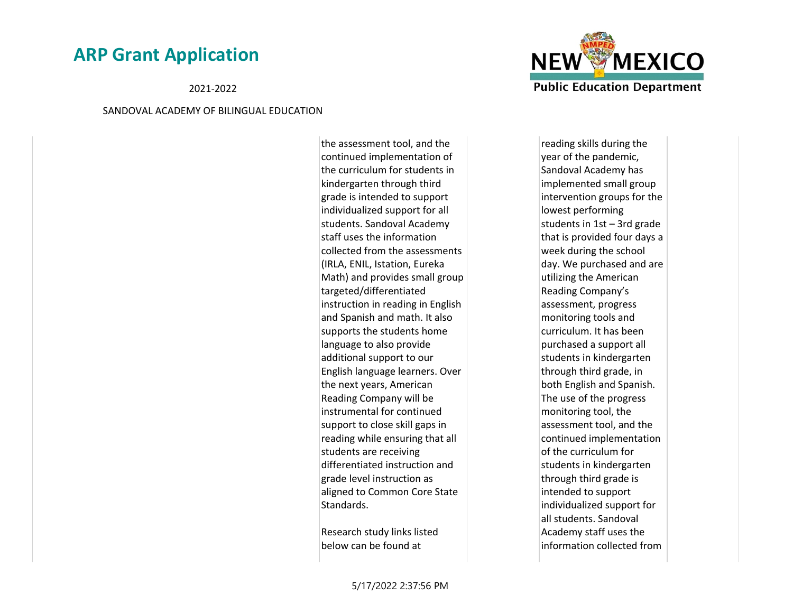2021-2022

#### SANDOVAL ACADEMY OF BILINGUAL EDUCATION

the assessment tool, and the continued implementation of the curriculum for students in kindergarten through third grade is intended to support individualized support for all students. Sandoval Academy staff uses the information collected from the assessments (IRLA, ENIL, Istation, Eureka Math) and provides small group targeted/differentiated instruction in reading in English and Spanish and math. It also supports the students home language to also provide additional support to our English language learners. Over the next years, American Reading Company will be instrumental for continued support to close skill gaps in reading while ensuring that all students are receiving differentiated instruction and grade level instruction as aligned to Common Core State Standards.

Research study links listed below can be found at



reading skills during the year of the pandemic, Sandoval Academy has implemented small group intervention groups for the lowest performing students in 1st – 3rd grade that is provided four days a week during the school day. We purchased and are utilizing the American Reading Company's assessment, progress monitoring tools and curriculum. It has been purchased a support all students in kindergarten through third grade, in both English and Spanish. The use of the progress monitoring tool, the assessment tool, and the continued implementation of the curriculum for students in kindergarten through third grade is intended to support individualized support for all students. Sandoval Academy staff uses the information collected from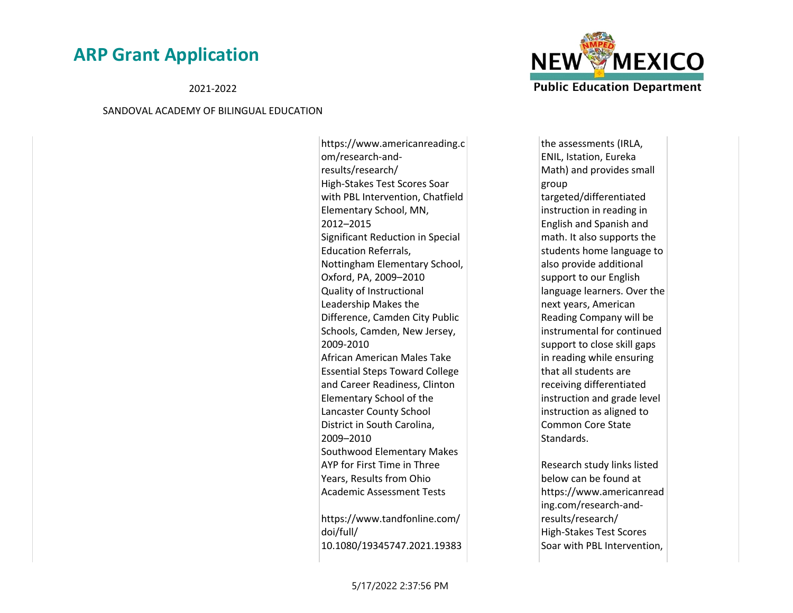2021-2022

#### SANDOVAL ACADEMY OF BILINGUAL EDUCATION

https://www.americanreading.c om/research-andresults/research/ High-Stakes Test Scores Soar with PBL Intervention, Chatfield Elementary School, MN, 2012–2015 Significant Reduction in Special Education Referrals, Nottingham Elementary School, Oxford, PA, 2009–2010 Quality of Instructional Leadership Makes the Difference, Camden City Public Schools, Camden, New Jersey, 2009-2010 African American Males Take Essential Steps Toward College and Career Readiness, Clinton Elementary School of the Lancaster County School District in South Carolina, 2009–2010 Southwood Elementary Makes AYP for First Time in Three Years, Results from Ohio Academic Assessment Tests https://www.tandfonline.com/

doi/full/ 10.1080/19345747.2021.19383



the assessments (IRLA, ENIL, Istation, Eureka Math) and provides small group targeted/differentiated instruction in reading in English and Spanish and math. It also supports the students home language to also provide additional support to our English language learners. Over the next years, American Reading Company will be instrumental for continued support to close skill gaps in reading while ensuring that all students are receiving differentiated instruction and grade level instruction as aligned to Common Core State Standards.

Research study links listed below can be found at https://www.americanread ing.com/research-andresults/research/ High-Stakes Test Scores Soar with PBL Intervention,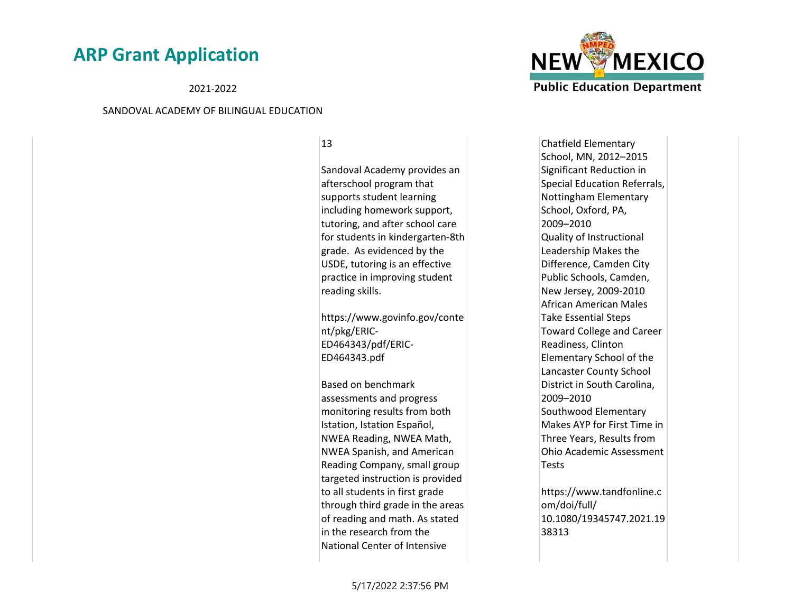2021-2022

#### SANDOVAL ACADEMY OF BILINGUAL EDUCATION

13

Sandoval Academy provides an afterschool program that supports student learning including homework support, tutoring, and after school care for students in kindergarten-8th grade. As evidenced by the USDE, tutoring is an effective practice in improving student reading skills.

https://www.govinfo.gov/conte nt/pkg/ERIC-ED464343/pdf/ERIC-ED464343.pdf

Based on benchmark assessments and progress monitoring results from both Istation, Istation Español, NWEA Reading, NWEA Math, NWEA Spanish, and American Reading Company, small group targeted instruction is provided to all students in first grade through third grade in the areas of reading and math. As stated in the research from the National Center of Intensive



Chatfield Elementary School, MN, 2012–2015 Significant Reduction in Special Education Referrals, Nottingham Elementary School, Oxford, PA, 2009–2010 Quality of Instructional Leadership Makes the Difference, Camden City Public Schools, Camden, New Jersey, 2009-2010 African American Males Take Essential Steps Toward College and Career Readiness, Clinton Elementary School of the Lancaster County School District in South Carolina, 2009–2010 Southwood Elementary Makes AYP for First Time in Three Years, Results from Ohio Academic Assessment **Tests** 

https://www.tandfonline.c om/doi/full/ 10.1080/19345747.2021.19 38313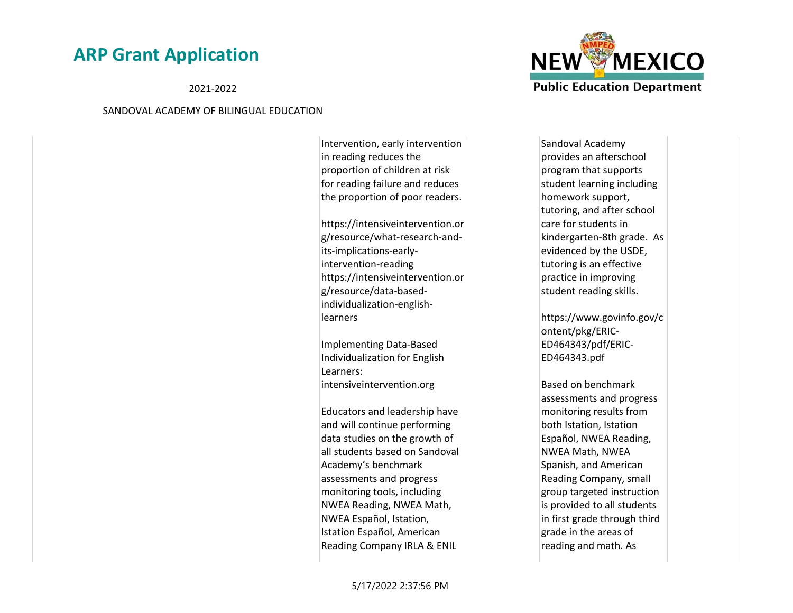2021-2022

#### SANDOVAL ACADEMY OF BILINGUAL EDUCATION

Intervention, early intervention in reading reduces the proportion of children at risk for reading failure and reduces the proportion of poor readers.

https://intensiveintervention.or g/resource/what-research-andits-implications-earlyintervention-reading https://intensiveintervention.or g/resource/data-basedindividualization-englishlearners

Implementing Data-Based Individualization for English Learners: intensiveintervention.org

Educators and leadership have and will continue performing data studies on the growth of all students based on Sandoval Academy's benchmark assessments and progress monitoring tools, including NWEA Reading, NWEA Math, NWEA Español, Istation, Istation Español, American Reading Company IRLA & ENIL



Sandoval Academy provides an afterschool program that supports student learning including homework support, tutoring, and after school care for students in kindergarten-8th grade. As evidenced by the USDE, tutoring is an effective practice in improving student reading skills.

https://www.govinfo.gov/c ontent/pkg/ERIC-ED464343/pdf/ERIC-ED464343.pdf

Based on benchmark assessments and progress monitoring results from both Istation, Istation Español, NWEA Reading, NWEA Math, NWEA Spanish, and American Reading Company, small group targeted instruction is provided to all students in first grade through third grade in the areas of reading and math. As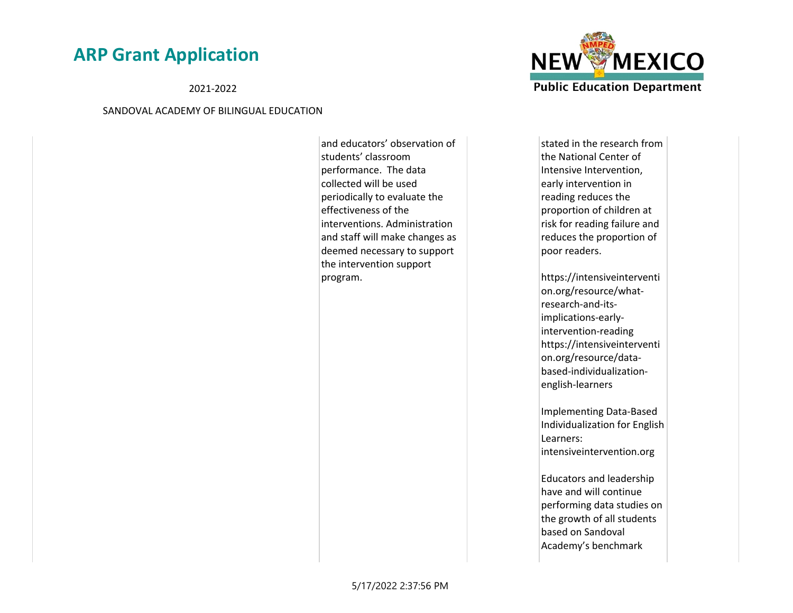2021-2022

#### SANDOVAL ACADEMY OF BILINGUAL EDUCATION

and educators' observation of students' classroom performance. The data collected will be used periodically to evaluate the effectiveness of the interventions. Administration and staff will make changes as deemed necessary to support the intervention support program.

**NEW MEXICO Public Education Department** 

stated in the research from the National Center of Intensive Intervention, early intervention in reading reduces the proportion of children at risk for reading failure and reduces the proportion of poor readers.

https://intensiveinterventi on.org/resource/whatresearch-and-itsimplications-earlyintervention-reading https://intensiveinterventi on.org/resource/databased-individualizationenglish-learners

Implementing Data-Based Individualization for English Learners: intensiveintervention.org

Educators and leadership have and will continue performing data studies on the growth of all students based on Sandoval Academy's benchmark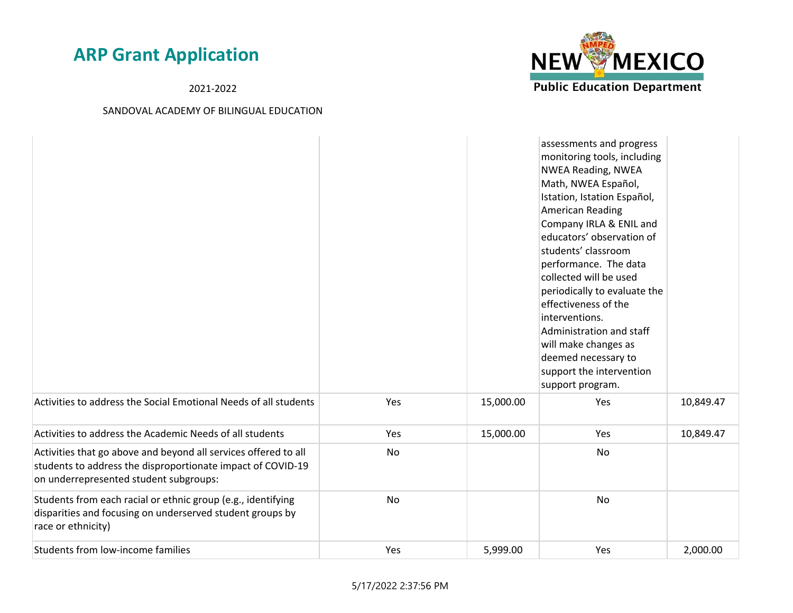2021-2022



|                                                                                                                                                                          |     |           | assessments and progress<br>monitoring tools, including<br><b>NWEA Reading, NWEA</b><br>Math, NWEA Español,<br>Istation, Istation Español,<br>American Reading<br>Company IRLA & ENIL and<br>educators' observation of<br>students' classroom<br>performance. The data<br>collected will be used<br>periodically to evaluate the<br>effectiveness of the<br>interventions.<br>Administration and staff<br>will make changes as<br>deemed necessary to<br>support the intervention<br>support program. |           |
|--------------------------------------------------------------------------------------------------------------------------------------------------------------------------|-----|-----------|-------------------------------------------------------------------------------------------------------------------------------------------------------------------------------------------------------------------------------------------------------------------------------------------------------------------------------------------------------------------------------------------------------------------------------------------------------------------------------------------------------|-----------|
| Activities to address the Social Emotional Needs of all students                                                                                                         | Yes | 15,000.00 | Yes                                                                                                                                                                                                                                                                                                                                                                                                                                                                                                   | 10,849.47 |
| Activities to address the Academic Needs of all students                                                                                                                 | Yes | 15,000.00 | Yes                                                                                                                                                                                                                                                                                                                                                                                                                                                                                                   | 10,849.47 |
| Activities that go above and beyond all services offered to all<br>students to address the disproportionate impact of COVID-19<br>on underrepresented student subgroups: | No  |           | No                                                                                                                                                                                                                                                                                                                                                                                                                                                                                                    |           |
| Students from each racial or ethnic group (e.g., identifying<br>disparities and focusing on underserved student groups by<br>race or ethnicity)                          | No  |           | No                                                                                                                                                                                                                                                                                                                                                                                                                                                                                                    |           |
| Students from low-income families                                                                                                                                        | Yes | 5,999.00  | Yes                                                                                                                                                                                                                                                                                                                                                                                                                                                                                                   | 2,000.00  |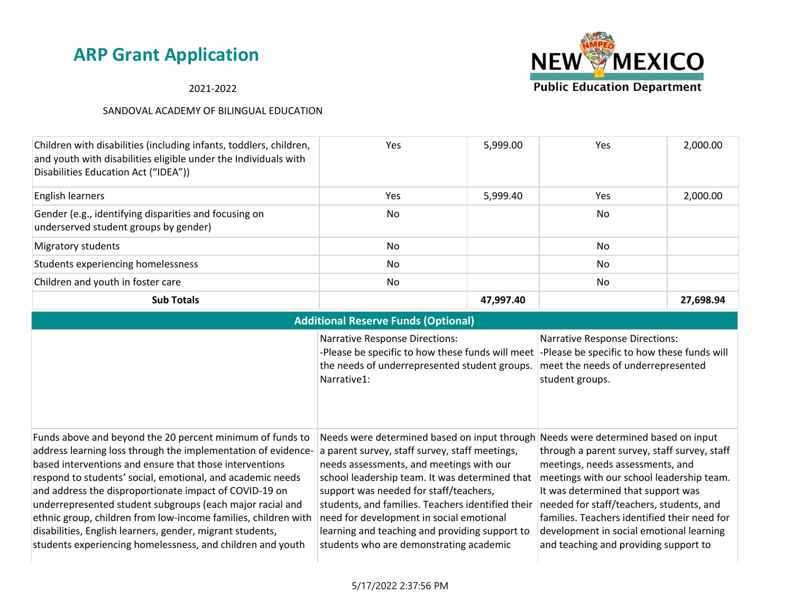2021-2022



|                                                                                                                                                                                                                                                                                                                                                                                                                                                                                                                                                                         | <b>Additional Reserve Funds (Optional)</b>                                                                                                                                                                                                                                                                                                                                                                                           |                                                                                                                                                                                                                                                                                                                                                                                              |  |  |  |  |
|-------------------------------------------------------------------------------------------------------------------------------------------------------------------------------------------------------------------------------------------------------------------------------------------------------------------------------------------------------------------------------------------------------------------------------------------------------------------------------------------------------------------------------------------------------------------------|--------------------------------------------------------------------------------------------------------------------------------------------------------------------------------------------------------------------------------------------------------------------------------------------------------------------------------------------------------------------------------------------------------------------------------------|----------------------------------------------------------------------------------------------------------------------------------------------------------------------------------------------------------------------------------------------------------------------------------------------------------------------------------------------------------------------------------------------|--|--|--|--|
|                                                                                                                                                                                                                                                                                                                                                                                                                                                                                                                                                                         | <b>Narrative Response Directions:</b><br>-Please be specific to how these funds will meet<br>the needs of underrepresented student groups.<br>Narrative1:                                                                                                                                                                                                                                                                            | <b>Narrative Response Directions:</b><br>-Please be specific to how these funds will<br>meet the needs of underrepresented<br>student groups.                                                                                                                                                                                                                                                |  |  |  |  |
| Funds above and beyond the 20 percent minimum of funds to<br>address learning loss through the implementation of evidence-<br>based interventions and ensure that those interventions<br>respond to students' social, emotional, and academic needs<br>and address the disproportionate impact of COVID-19 on<br>underrepresented student subgroups (each major racial and<br>ethnic group, children from low-income families, children with<br>disabilities, English learners, gender, migrant students,<br>students experiencing homelessness, and children and youth | Needs were determined based on input through<br>a parent survey, staff survey, staff meetings,<br>needs assessments, and meetings with our<br>school leadership team. It was determined that<br>support was needed for staff/teachers,<br>students, and families. Teachers identified their<br>need for development in social emotional<br>learning and teaching and providing support to<br>students who are demonstrating academic | Needs were determined based on input<br>through a parent survey, staff survey, staff<br>meetings, needs assessments, and<br>meetings with our school leadership team.<br>It was determined that support was<br>needed for staff/teachers, students, and<br>families. Teachers identified their need for<br>development in social emotional learning<br>and teaching and providing support to |  |  |  |  |

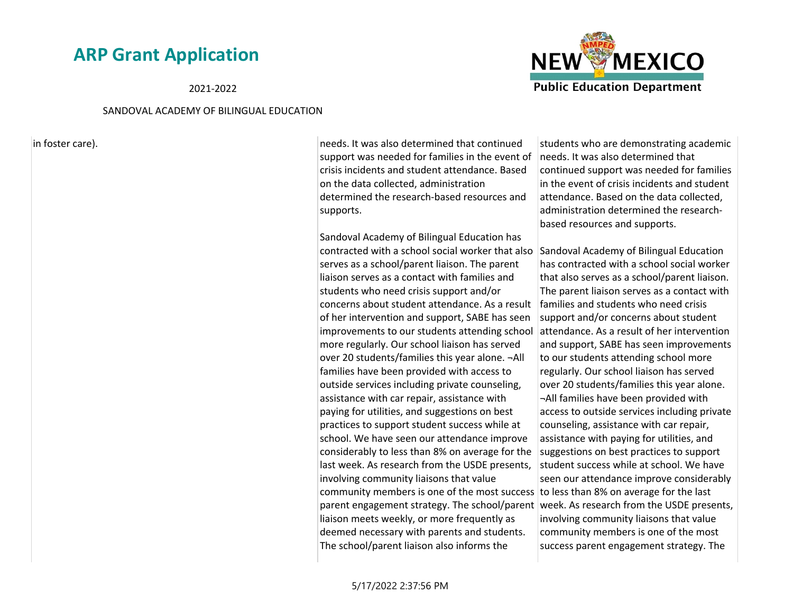#### 2021-2022

#### SANDOVAL ACADEMY OF BILINGUAL EDUCATION

in foster care). The intervalse care in the local continued that continued that continued that continued support was needed for families in the event of crisis incidents and student attendance. Based on the data collected, administration determined the research-based resources and supports.

> Sandoval Academy of Bilingual Education has contracted with a school social worker that also serves as a school/parent liaison. The parent liaison serves as a contact with families and students who need crisis support and/or concerns about student attendance. As a result of her intervention and support, SABE has seen improvements to our students attending school more regularly. Our school liaison has served over 20 students/families this year alone. ¬All families have been provided with access to outside services including private counseling, assistance with car repair, assistance with paying for utilities, and suggestions on best practices to support student success while at school. We have seen our attendance improve considerably to less than 8% on average for the last week. As research from the USDE presents, involving community liaisons that value community members is one of the most success  $\vert$  to less than 8% on average for the last parent engagement strategy. The school/parent | week. As research from the USDE presents, liaison meets weekly, or more frequently as deemed necessary with parents and students. The school/parent liaison also informs the

students who are demonstrating academic needs. It was also determined that continued support was needed for families in the event of crisis incidents and student attendance. Based on the data collected, administration determined the researchbased resources and supports.

Sandoval Academy of Bilingual Education has contracted with a school social worker that also serves as a school/parent liaison. The parent liaison serves as a contact with families and students who need crisis support and/or concerns about student attendance. As a result of her intervention and support, SABE has seen improvements to our students attending school more regularly. Our school liaison has served over 20 students/families this year alone. ¬All families have been provided with access to outside services including private counseling, assistance with car repair, assistance with paying for utilities, and suggestions on best practices to support student success while at school. We have seen our attendance improve considerably involving community liaisons that value community members is one of the most success parent engagement strategy. The

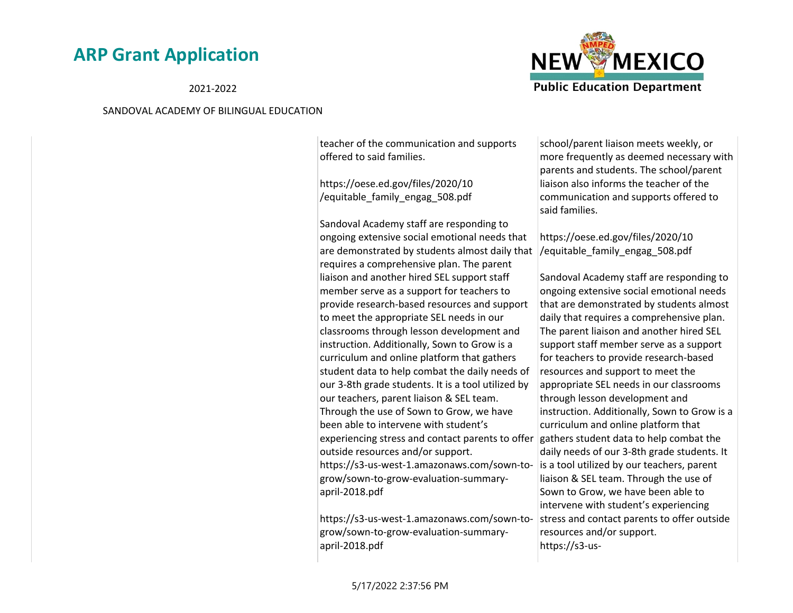2021-2022

#### SANDOVAL ACADEMY OF BILINGUAL EDUCATION

teacher of the communication and supports offered to said families.

https://oese.ed.gov/files/2020/10 /equitable\_family\_engag\_508.pdf

Sandoval Academy staff are responding to ongoing extensive social emotional needs that are demonstrated by students almost daily that requires a comprehensive plan. The parent liaison and another hired SEL support staff member serve as a support for teachers to provide research-based resources and support to meet the appropriate SEL needs in our classrooms through lesson development and instruction. Additionally, Sown to Grow is a curriculum and online platform that gathers student data to help combat the daily needs of our 3-8th grade students. It is a tool utilized by our teachers, parent liaison & SEL team. Through the use of Sown to Grow, we have been able to intervene with student's experiencing stress and contact parents to offer outside resources and/or support. https://s3-us-west-1.amazonaws.com/sown-togrow/sown-to-grow-evaluation-summaryapril-2018.pdf

https://s3-us-west-1.amazonaws.com/sown-togrow/sown-to-grow-evaluation-summaryapril-2018.pdf

school/parent liaison meets weekly, or more frequently as deemed necessary with parents and students. The school/parent liaison also informs the teacher of the communication and supports offered to said families.

https://oese.ed.gov/files/2020/10 /equitable\_family\_engag\_508.pdf

Sandoval Academy staff are responding to ongoing extensive social emotional needs that are demonstrated by students almost daily that requires a comprehensive plan. The parent liaison and another hired SEL support staff member serve as a support for teachers to provide research-based resources and support to meet the appropriate SEL needs in our classrooms through lesson development and instruction. Additionally, Sown to Grow is a curriculum and online platform that gathers student data to help combat the daily needs of our 3-8th grade students. It is a tool utilized by our teachers, parent liaison & SEL team. Through the use of Sown to Grow, we have been able to intervene with student's experiencing stress and contact parents to offer outside resources and/or support. https://s3-us-

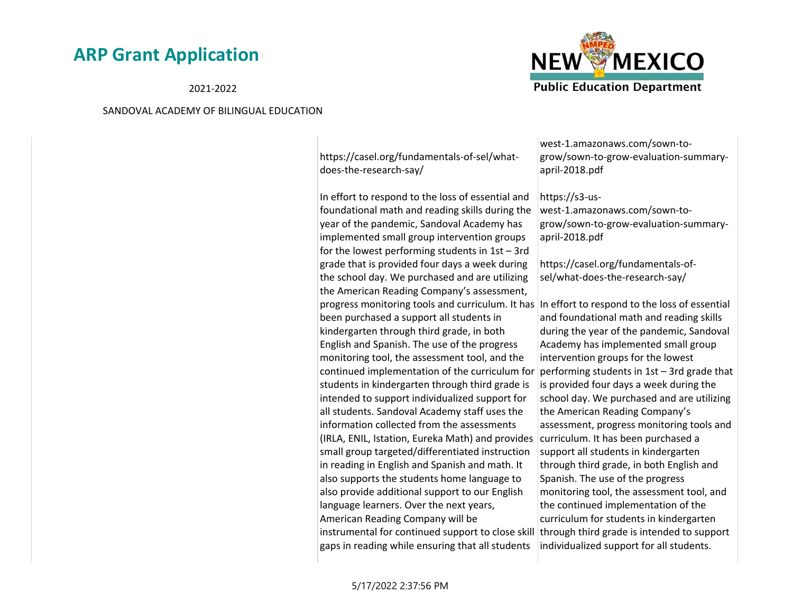#### 2021-2022

#### SANDOVAL ACADEMY OF BILINGUAL EDUCATION



https://casel.org/fundamentals-of-sel/whatdoes-the-research-say/

In effort to respond to the loss of essential and foundational math and reading skills during the year of the pandemic, Sandoval Academy has implemented small group intervention groups for the lowest performing students in 1st – 3rd grade that is provided four days a week during the school day. We purchased and are utilizing the American Reading Company's assessment, progress monitoring tools and curriculum. It has In effort to respond to the loss of essential been purchased a support all students in kindergarten through third grade, in both English and Spanish. The use of the progress monitoring tool, the assessment tool, and the continued implementation of the curriculum for students in kindergarten through third grade is intended to support individualized support for all students. Sandoval Academy staff uses the information collected from the assessments (IRLA, ENIL, Istation, Eureka Math) and provides curriculum. It has been purchased a small group targeted/differentiated instruction in reading in English and Spanish and math. It also supports the students home language to also provide additional support to our English language learners. Over the next years, American Reading Company will be instrumental for continued support to close skill through third grade is intended to support gaps in reading while ensuring that all students

west-1.amazonaws.com/sown-togrow/sown-to-grow-evaluation-summaryapril-2018.pdf

#### https://s3-us-

west-1.amazonaws.com/sown-togrow/sown-to-grow-evaluation-summaryapril-2018.pdf

https://casel.org/fundamentals-ofsel/what-does-the-research-say/

and foundational math and reading skills during the year of the pandemic, Sandoval Academy has implemented small group intervention groups for the lowest performing students in 1st – 3rd grade that is provided four days a week during the school day. We purchased and are utilizing the American Reading Company's assessment, progress monitoring tools and support all students in kindergarten through third grade, in both English and Spanish. The use of the progress monitoring tool, the assessment tool, and the continued implementation of the curriculum for students in kindergarten individualized support for all students.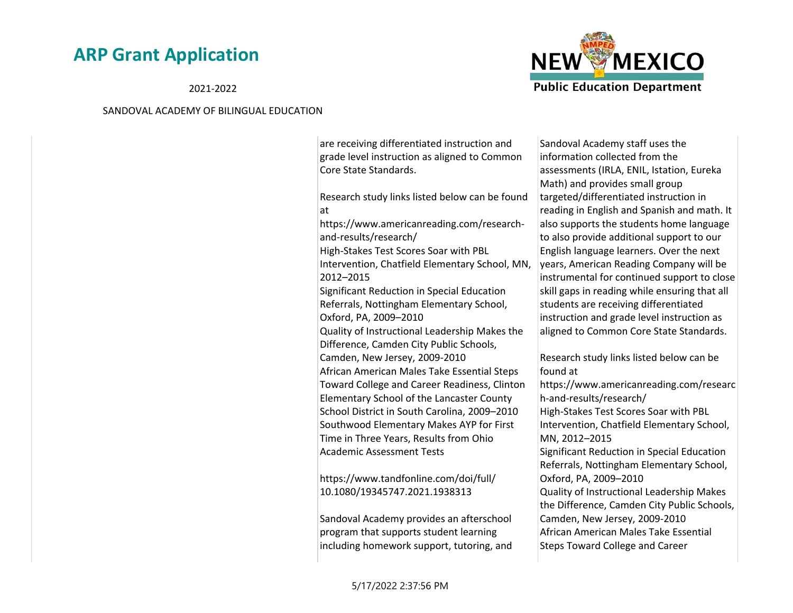2021-2022

#### SANDOVAL ACADEMY OF BILINGUAL EDUCATION



are receiving differentiated instruction and grade level instruction as aligned to Common Core State Standards.

Research study links listed below can be found at

https://www.americanreading.com/researchand-results/research/

High-Stakes Test Scores Soar with PBL Intervention, Chatfield Elementary School, MN, 2012–2015

Significant Reduction in Special Education Referrals, Nottingham Elementary School, Oxford, PA, 2009–2010

Quality of Instructional Leadership Makes the Difference, Camden City Public Schools, Camden, New Jersey, 2009-2010

African American Males Take Essential Steps Toward College and Career Readiness, Clinton Elementary School of the Lancaster County School District in South Carolina, 2009–2010 Southwood Elementary Makes AYP for First Time in Three Years, Results from Ohio Academic Assessment Tests

https://www.tandfonline.com/doi/full/ 10.1080/19345747.2021.1938313

Sandoval Academy provides an afterschool program that supports student learning including homework support, tutoring, and

Sandoval Academy staff uses the information collected from the assessments (IRLA, ENIL, Istation, Eureka Math) and provides small group targeted/differentiated instruction in reading in English and Spanish and math. It also supports the students home language to also provide additional support to our English language learners. Over the next years, American Reading Company will be instrumental for continued support to close skill gaps in reading while ensuring that all students are receiving differentiated instruction and grade level instruction as aligned to Common Core State Standards.

Research study links listed below can be found at

https://www.americanreading.com/researc h-and-results/research/ High-Stakes Test Scores Soar with PBL Intervention, Chatfield Elementary School, MN, 2012–2015 Significant Reduction in Special Education Referrals, Nottingham Elementary School, Oxford, PA, 2009–2010 Quality of Instructional Leadership Makes the Difference, Camden City Public Schools, Camden, New Jersey, 2009-2010 African American Males Take Essential Steps Toward College and Career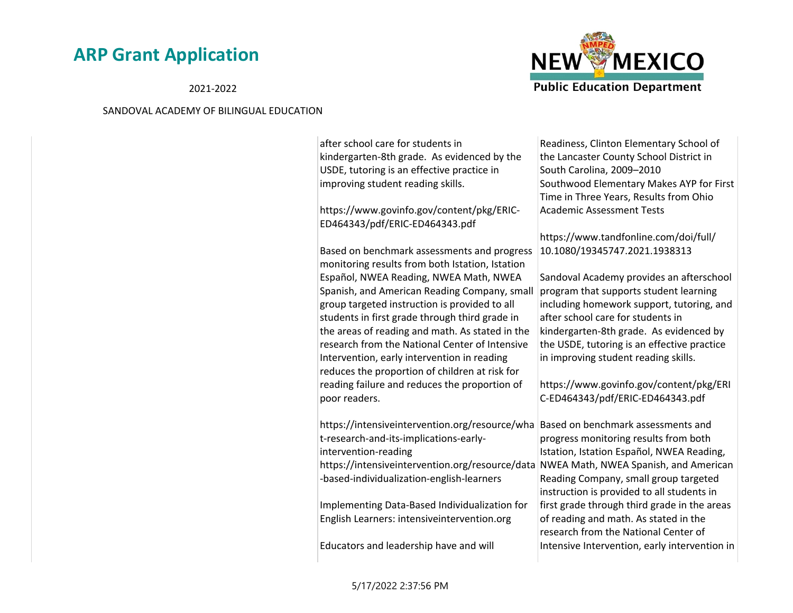2021-2022



| after school care for students in               | Readiness, Clinton Elementary School of       |
|-------------------------------------------------|-----------------------------------------------|
| kindergarten-8th grade. As evidenced by the     | the Lancaster County School District in       |
| USDE, tutoring is an effective practice in      | South Carolina, 2009-2010                     |
| improving student reading skills.               | Southwood Elementary Makes AYP for First      |
|                                                 | Time in Three Years, Results from Ohio        |
| https://www.govinfo.gov/content/pkg/ERIC-       | <b>Academic Assessment Tests</b>              |
| ED464343/pdf/ERIC-ED464343.pdf                  |                                               |
|                                                 | https://www.tandfonline.com/doi/full/         |
| Based on benchmark assessments and progress     | 10.1080/19345747.2021.1938313                 |
| monitoring results from both Istation, Istation |                                               |
| Español, NWEA Reading, NWEA Math, NWEA          | Sandoval Academy provides an afterschool      |
| Spanish, and American Reading Company, small    | program that supports student learning        |
| group targeted instruction is provided to all   | including homework support, tutoring, and     |
| students in first grade through third grade in  | after school care for students in             |
| the areas of reading and math. As stated in the | kindergarten-8th grade. As evidenced by       |
| research from the National Center of Intensive  | the USDE, tutoring is an effective practice   |
| Intervention, early intervention in reading     | in improving student reading skills.          |
| reduces the proportion of children at risk for  |                                               |
| reading failure and reduces the proportion of   | https://www.govinfo.gov/content/pkg/ERI       |
| poor readers.                                   | C-ED464343/pdf/ERIC-ED464343.pdf              |
|                                                 |                                               |
| https://intensiveintervention.org/resource/wha  | Based on benchmark assessments and            |
| t-research-and-its-implications-early-          | progress monitoring results from both         |
| intervention-reading                            | Istation, Istation Español, NWEA Reading,     |
| https://intensiveintervention.org/resource/data | NWEA Math, NWEA Spanish, and American         |
| -based-individualization-english-learners       | Reading Company, small group targeted         |
|                                                 | instruction is provided to all students in    |
| Implementing Data-Based Individualization for   | first grade through third grade in the areas  |
| English Learners: intensiveintervention.org     | of reading and math. As stated in the         |
|                                                 | research from the National Center of          |
| Educators and leadership have and will          | Intensive Intervention, early intervention in |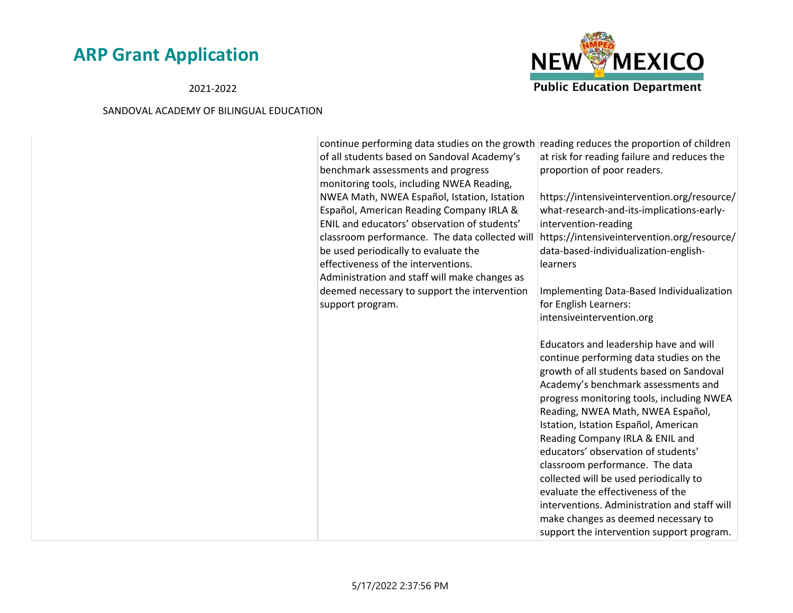2021-2022



| continue performing data studies on the growth<br>of all students based on Sandoval Academy's<br>benchmark assessments and progress<br>monitoring tools, including NWEA Reading, | reading reduces the proportion of children<br>at risk for reading failure and reduces the<br>proportion of poor readers.                                                                                                                                                                                                                                                                                                                                                                                                                                                                                                       |  |
|----------------------------------------------------------------------------------------------------------------------------------------------------------------------------------|--------------------------------------------------------------------------------------------------------------------------------------------------------------------------------------------------------------------------------------------------------------------------------------------------------------------------------------------------------------------------------------------------------------------------------------------------------------------------------------------------------------------------------------------------------------------------------------------------------------------------------|--|
| NWEA Math, NWEA Español, Istation, Istation<br>Español, American Reading Company IRLA &                                                                                          | https://intensiveintervention.org/resource/<br>what-research-and-its-implications-early-                                                                                                                                                                                                                                                                                                                                                                                                                                                                                                                                       |  |
| ENIL and educators' observation of students'                                                                                                                                     | intervention-reading                                                                                                                                                                                                                                                                                                                                                                                                                                                                                                                                                                                                           |  |
| classroom performance. The data collected will<br>be used periodically to evaluate the                                                                                           | https://intensiveintervention.org/resource/<br>data-based-individualization-english-                                                                                                                                                                                                                                                                                                                                                                                                                                                                                                                                           |  |
| effectiveness of the interventions.                                                                                                                                              | learners                                                                                                                                                                                                                                                                                                                                                                                                                                                                                                                                                                                                                       |  |
| Administration and staff will make changes as                                                                                                                                    |                                                                                                                                                                                                                                                                                                                                                                                                                                                                                                                                                                                                                                |  |
| deemed necessary to support the intervention                                                                                                                                     | Implementing Data-Based Individualization                                                                                                                                                                                                                                                                                                                                                                                                                                                                                                                                                                                      |  |
| support program.                                                                                                                                                                 | for English Learners:                                                                                                                                                                                                                                                                                                                                                                                                                                                                                                                                                                                                          |  |
|                                                                                                                                                                                  | intensiveintervention.org                                                                                                                                                                                                                                                                                                                                                                                                                                                                                                                                                                                                      |  |
|                                                                                                                                                                                  | Educators and leadership have and will<br>continue performing data studies on the<br>growth of all students based on Sandoval<br>Academy's benchmark assessments and<br>progress monitoring tools, including NWEA<br>Reading, NWEA Math, NWEA Español,<br>Istation, Istation Español, American<br>Reading Company IRLA & ENIL and<br>educators' observation of students'<br>classroom performance. The data<br>collected will be used periodically to<br>evaluate the effectiveness of the<br>interventions. Administration and staff will<br>make changes as deemed necessary to<br>support the intervention support program. |  |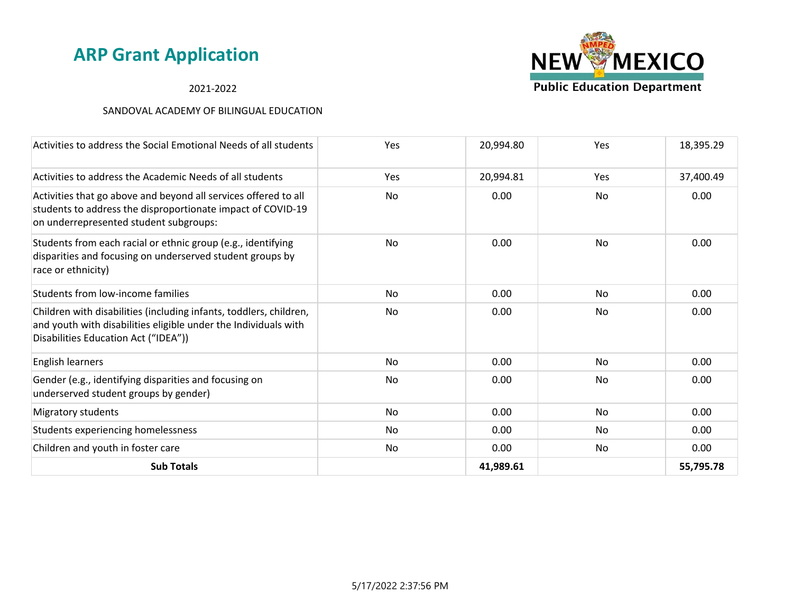### 2021-2022



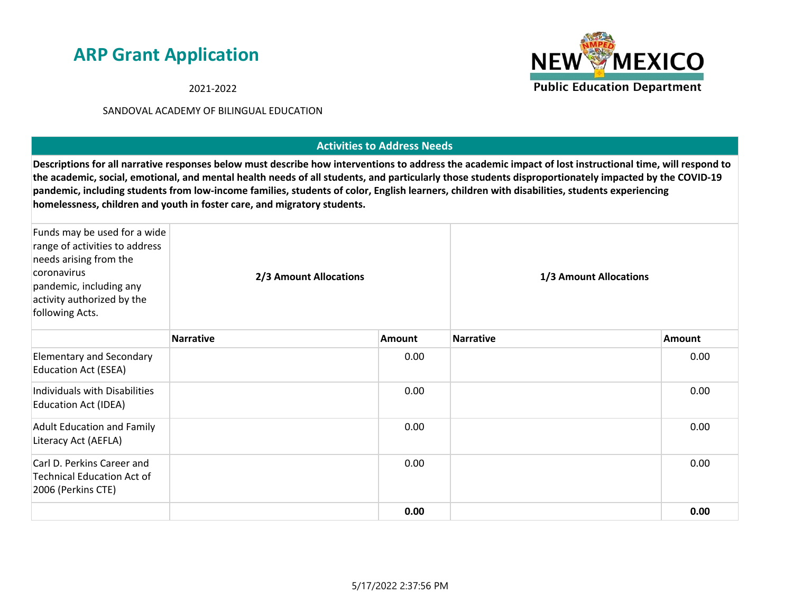2021-2022

### SANDOVAL ACADEMY OF BILINGUAL EDUCATION

### **Activities to Address Needs**

**Descriptions for all narrative responses below must describe how interventions to address the academic impact of lost instructional time, will respond to the academic, social, emotional, and mental health needs of all students, and particularly those students disproportionately impacted by the COVID-19 pandemic, including students from low-income families, students of color, English learners, children with disabilities, students experiencing homelessness, children and youth in foster care, and migratory students.**

| Funds may be used for a wide<br>range of activities to address<br>needs arising from the<br>coronavirus<br>pandemic, including any<br>activity authorized by the<br>following Acts. | 2/3 Amount Allocations |               | 1/3 Amount Allocations |        |
|-------------------------------------------------------------------------------------------------------------------------------------------------------------------------------------|------------------------|---------------|------------------------|--------|
|                                                                                                                                                                                     | <b>Narrative</b>       | <b>Amount</b> | <b>Narrative</b>       | Amount |
| <b>Elementary and Secondary</b><br><b>Education Act (ESEA)</b>                                                                                                                      |                        | 0.00          |                        | 0.00   |
| Individuals with Disabilities<br><b>Education Act (IDEA)</b>                                                                                                                        |                        | 0.00          |                        | 0.00   |
| <b>Adult Education and Family</b><br>Literacy Act (AEFLA)                                                                                                                           |                        | 0.00          |                        | 0.00   |
| Carl D. Perkins Career and<br><b>Technical Education Act of</b><br>2006 (Perkins CTE)                                                                                               |                        | 0.00          |                        | 0.00   |
|                                                                                                                                                                                     |                        | 0.00          |                        | 0.00   |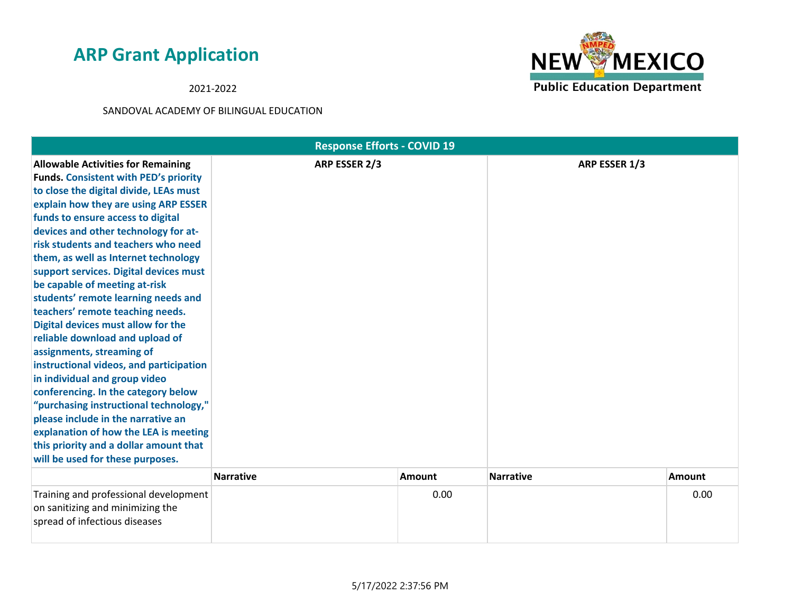2021-2022



|                                                                                                                                                                                                                                                                                                                                                                                                                                                                                                                                                                                                                                                                                                                                                                                                                                                                                                                               | <b>Response Efforts - COVID 19</b> |        |                  |        |
|-------------------------------------------------------------------------------------------------------------------------------------------------------------------------------------------------------------------------------------------------------------------------------------------------------------------------------------------------------------------------------------------------------------------------------------------------------------------------------------------------------------------------------------------------------------------------------------------------------------------------------------------------------------------------------------------------------------------------------------------------------------------------------------------------------------------------------------------------------------------------------------------------------------------------------|------------------------------------|--------|------------------|--------|
| <b>Allowable Activities for Remaining</b><br><b>Funds. Consistent with PED's priority</b><br>to close the digital divide, LEAs must<br>explain how they are using ARP ESSER<br>funds to ensure access to digital<br>devices and other technology for at-<br>risk students and teachers who need<br>them, as well as Internet technology<br>support services. Digital devices must<br>be capable of meeting at-risk<br>students' remote learning needs and<br>teachers' remote teaching needs.<br>Digital devices must allow for the<br>reliable download and upload of<br>assignments, streaming of<br>instructional videos, and participation<br>in individual and group video<br>conferencing. In the category below<br>"purchasing instructional technology,"<br>please include in the narrative an<br>explanation of how the LEA is meeting<br>this priority and a dollar amount that<br>will be used for these purposes. | ARP ESSER 2/3                      |        | ARP ESSER 1/3    |        |
|                                                                                                                                                                                                                                                                                                                                                                                                                                                                                                                                                                                                                                                                                                                                                                                                                                                                                                                               | <b>Narrative</b>                   | Amount | <b>Narrative</b> | Amount |
| Training and professional development<br>on sanitizing and minimizing the<br>spread of infectious diseases                                                                                                                                                                                                                                                                                                                                                                                                                                                                                                                                                                                                                                                                                                                                                                                                                    |                                    | 0.00   |                  | 0.00   |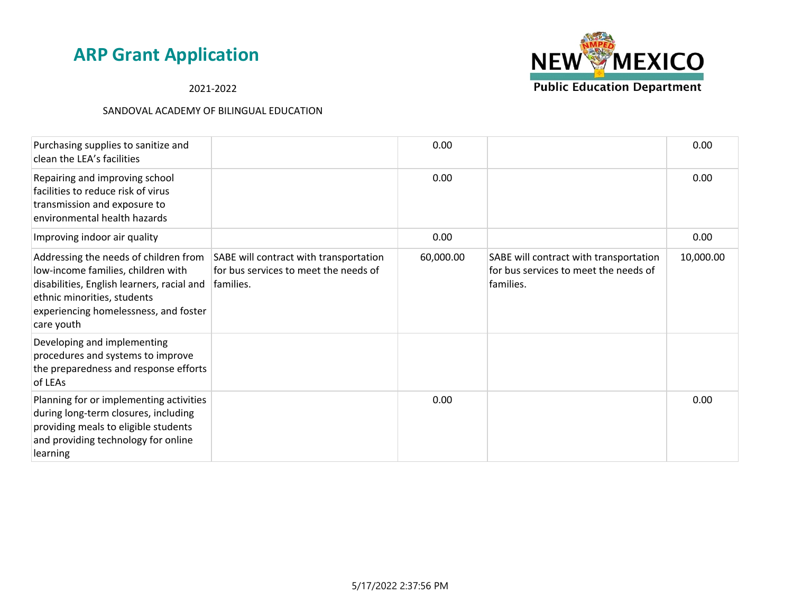

2021-2022

| Purchasing supplies to sanitize and<br>clean the LEA's facilities                                                                                                                                               |                                                                                              | 0.00      |                                                                                              | 0.00      |
|-----------------------------------------------------------------------------------------------------------------------------------------------------------------------------------------------------------------|----------------------------------------------------------------------------------------------|-----------|----------------------------------------------------------------------------------------------|-----------|
| Repairing and improving school<br>facilities to reduce risk of virus<br>transmission and exposure to<br>environmental health hazards                                                                            |                                                                                              | 0.00      |                                                                                              | 0.00      |
| Improving indoor air quality                                                                                                                                                                                    |                                                                                              | 0.00      |                                                                                              | 0.00      |
| Addressing the needs of children from<br>low-income families, children with<br>disabilities, English learners, racial and<br>ethnic minorities, students<br>experiencing homelessness, and foster<br>care youth | SABE will contract with transportation<br>for bus services to meet the needs of<br>families. | 60,000.00 | SABE will contract with transportation<br>for bus services to meet the needs of<br>families. | 10,000.00 |
| Developing and implementing<br>procedures and systems to improve<br>the preparedness and response efforts<br>of LEAs                                                                                            |                                                                                              |           |                                                                                              |           |
| Planning for or implementing activities<br>during long-term closures, including<br>providing meals to eligible students<br>and providing technology for online<br>learning                                      |                                                                                              | 0.00      |                                                                                              | 0.00      |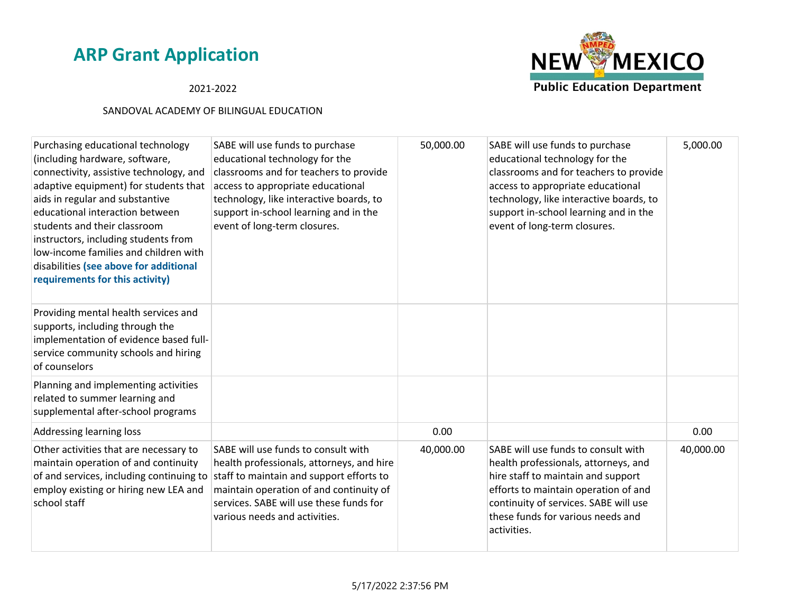### 2021-2022



| Purchasing educational technology<br>(including hardware, software,<br>connectivity, assistive technology, and<br>adaptive equipment) for students that<br>aids in regular and substantive<br>educational interaction between<br>students and their classroom<br>instructors, including students from<br>low-income families and children with<br>disabilities (see above for additional<br>requirements for this activity) | SABE will use funds to purchase<br>educational technology for the<br>classrooms and for teachers to provide<br>access to appropriate educational<br>technology, like interactive boards, to<br>support in-school learning and in the<br>event of long-term closures.                         | 50,000.00 | SABE will use funds to purchase<br>educational technology for the<br>classrooms and for teachers to provide<br>access to appropriate educational<br>technology, like interactive boards, to<br>support in-school learning and in the<br>event of long-term closures. | 5,000.00  |
|-----------------------------------------------------------------------------------------------------------------------------------------------------------------------------------------------------------------------------------------------------------------------------------------------------------------------------------------------------------------------------------------------------------------------------|----------------------------------------------------------------------------------------------------------------------------------------------------------------------------------------------------------------------------------------------------------------------------------------------|-----------|----------------------------------------------------------------------------------------------------------------------------------------------------------------------------------------------------------------------------------------------------------------------|-----------|
| Providing mental health services and<br>supports, including through the<br>implementation of evidence based full-<br>service community schools and hiring<br>of counselors                                                                                                                                                                                                                                                  |                                                                                                                                                                                                                                                                                              |           |                                                                                                                                                                                                                                                                      |           |
| Planning and implementing activities<br>related to summer learning and<br>supplemental after-school programs                                                                                                                                                                                                                                                                                                                |                                                                                                                                                                                                                                                                                              |           |                                                                                                                                                                                                                                                                      |           |
| Addressing learning loss                                                                                                                                                                                                                                                                                                                                                                                                    |                                                                                                                                                                                                                                                                                              | 0.00      |                                                                                                                                                                                                                                                                      | 0.00      |
| Other activities that are necessary to<br>maintain operation of and continuity<br>employ existing or hiring new LEA and<br>school staff                                                                                                                                                                                                                                                                                     | SABE will use funds to consult with<br>health professionals, attorneys, and hire<br>of and services, including continuing to staff to maintain and support efforts to<br>maintain operation of and continuity of<br>services. SABE will use these funds for<br>various needs and activities. | 40,000.00 | SABE will use funds to consult with<br>health professionals, attorneys, and<br>hire staff to maintain and support<br>efforts to maintain operation of and<br>continuity of services. SABE will use<br>these funds for various needs and<br>activities.               | 40,000.00 |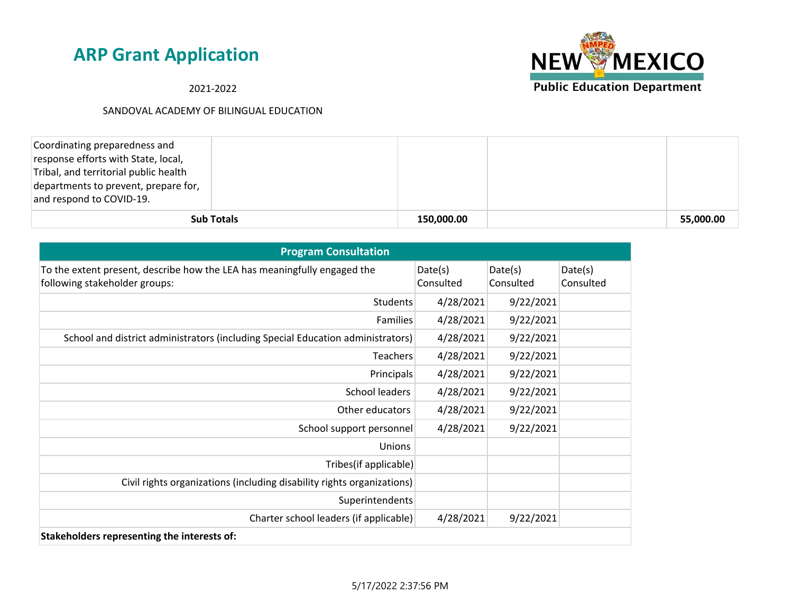**NEW MEXICO Public Education Department** 

2021-2022

| Coordinating preparedness and<br>response efforts with State, local,<br>Tribal, and territorial public health<br>departments to prevent, prepare for,<br>and respond to COVID-19. |                   |            |           |
|-----------------------------------------------------------------------------------------------------------------------------------------------------------------------------------|-------------------|------------|-----------|
|                                                                                                                                                                                   | <b>Sub Totals</b> | 150,000.00 | 55,000.00 |

| <b>Program Consultation</b>                                                                               |                      |                      |                      |
|-----------------------------------------------------------------------------------------------------------|----------------------|----------------------|----------------------|
| To the extent present, describe how the LEA has meaningfully engaged the<br>following stakeholder groups: | Date(s)<br>Consulted | Date(s)<br>Consulted | Date(s)<br>Consulted |
| Students                                                                                                  | 4/28/2021            | 9/22/2021            |                      |
| <b>Families</b>                                                                                           | 4/28/2021            | 9/22/2021            |                      |
| School and district administrators (including Special Education administrators)                           | 4/28/2021            | 9/22/2021            |                      |
| <b>Teachers</b>                                                                                           | 4/28/2021            | 9/22/2021            |                      |
| Principals                                                                                                | 4/28/2021            | 9/22/2021            |                      |
| School leaders                                                                                            | 4/28/2021            | 9/22/2021            |                      |
| Other educators                                                                                           | 4/28/2021            | 9/22/2021            |                      |
| School support personnel                                                                                  | 4/28/2021            | 9/22/2021            |                      |
| Unions                                                                                                    |                      |                      |                      |
| Tribes(if applicable)                                                                                     |                      |                      |                      |
| Civil rights organizations (including disability rights organizations)                                    |                      |                      |                      |
| Superintendents                                                                                           |                      |                      |                      |
| Charter school leaders (if applicable)                                                                    | 4/28/2021            | 9/22/2021            |                      |
| Stakeholders representing the interests of:                                                               |                      |                      |                      |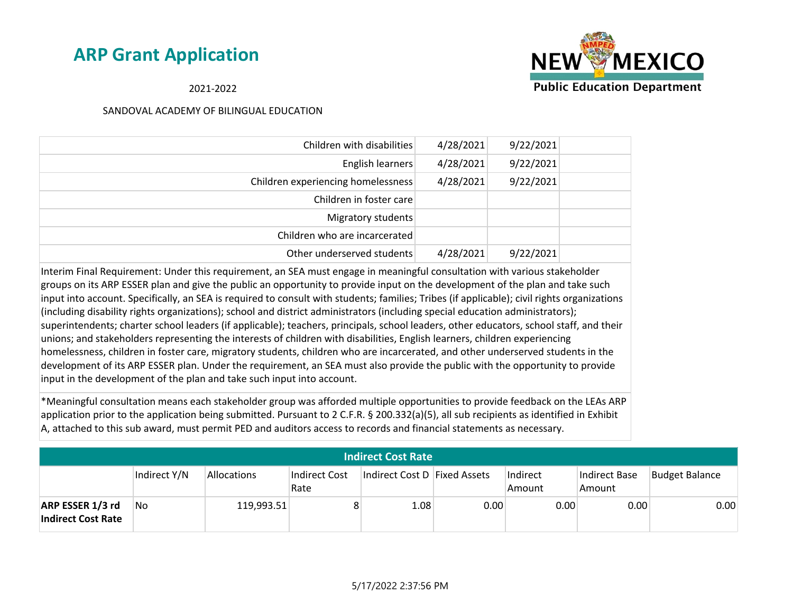

2021-2022

### SANDOVAL ACADEMY OF BILINGUAL EDUCATION

| Children with disabilities         | 4/28/2021 | 9/22/2021 |  |
|------------------------------------|-----------|-----------|--|
| English learners                   | 4/28/2021 | 9/22/2021 |  |
| Children experiencing homelessness | 4/28/2021 | 9/22/2021 |  |
| Children in foster care            |           |           |  |
| Migratory students                 |           |           |  |
| Children who are incarcerated      |           |           |  |
| Other underserved students         | 4/28/2021 | 9/22/2021 |  |

Interim Final Requirement: Under this requirement, an SEA must engage in meaningful consultation with various stakeholder groups on its ARP ESSER plan and give the public an opportunity to provide input on the development of the plan and take such input into account. Specifically, an SEA is required to consult with students; families; Tribes (if applicable); civil rights organizations (including disability rights organizations); school and district administrators (including special education administrators); superintendents; charter school leaders (if applicable); teachers, principals, school leaders, other educators, school staff, and their unions; and stakeholders representing the interests of children with disabilities, English learners, children experiencing homelessness, children in foster care, migratory students, children who are incarcerated, and other underserved students in the development of its ARP ESSER plan. Under the requirement, an SEA must also provide the public with the opportunity to provide input in the development of the plan and take such input into account.

\*Meaningful consultation means each stakeholder group was afforded multiple opportunities to provide feedback on the LEAs ARP application prior to the application being submitted. Pursuant to 2 C.F.R. § 200.332(a)(5), all sub recipients as identified in Exhibit A, attached to this sub award, must permit PED and auditors access to records and financial statements as necessary.

| <b>Indirect Cost Rate</b>                     |              |             |                       |                              |      |                    |                         |                       |
|-----------------------------------------------|--------------|-------------|-----------------------|------------------------------|------|--------------------|-------------------------|-----------------------|
|                                               | Indirect Y/N | Allocations | Indirect Cost<br>Rate | Indirect Cost D Fixed Assets |      | Indirect<br>Amount | Indirect Base<br>Amount | <b>Budget Balance</b> |
| ARP ESSER 1/3 rd<br><b>Indirect Cost Rate</b> | No           | 119,993.51  |                       | 1.08                         | 0.00 | 0.00               | 0.00                    | 0.00                  |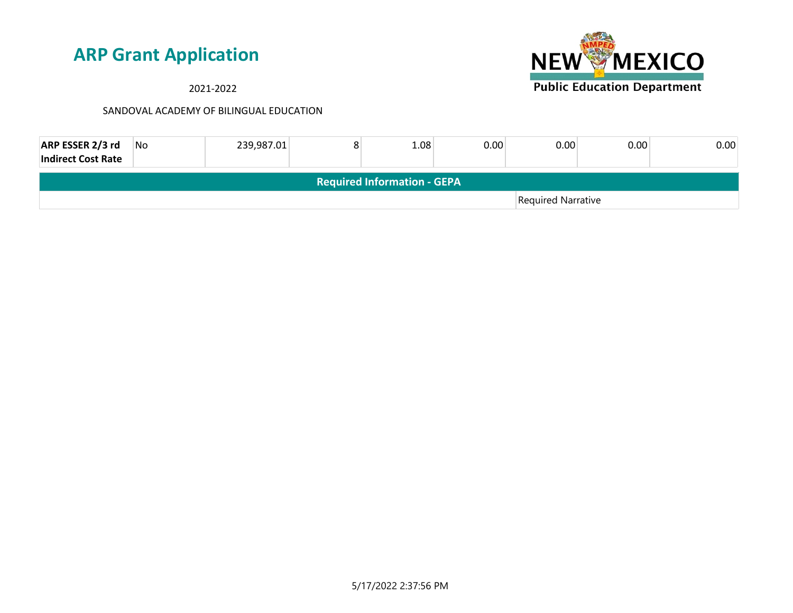2021-2022



| ARP ESSER 2/3 rd<br><b>Indirect Cost Rate</b> | No. | 239,987.01 | 8 | 1.08 | 0.00 | 0.00               | 0.00 | 0.00 |
|-----------------------------------------------|-----|------------|---|------|------|--------------------|------|------|
| <b>Required Information - GEPA</b>            |     |            |   |      |      |                    |      |      |
|                                               |     |            |   |      |      | Required Narrative |      |      |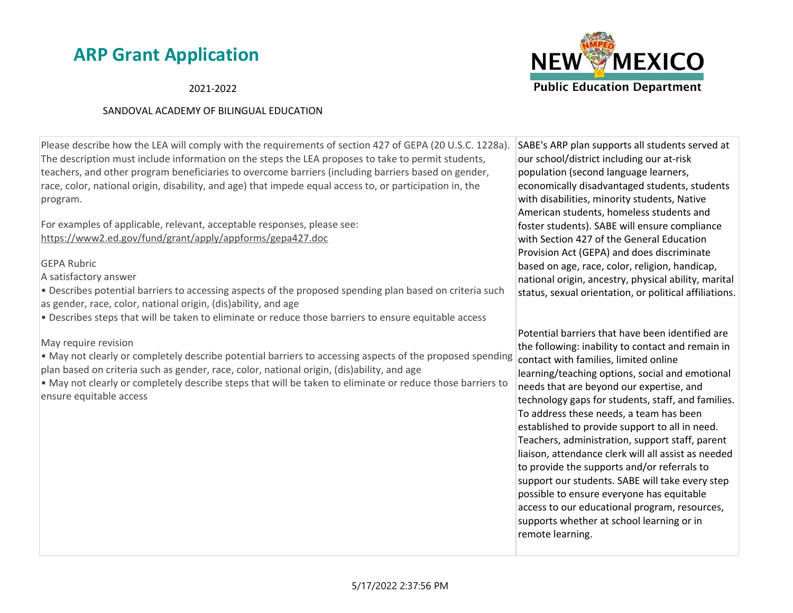### 2021-2022

### SANDOVAL ACADEMY OF BILINGUAL EDUCATION



Please describe how the LEA will comply with the requirements of section 427 of GEPA (20 U.S.C. 1228a). The description must include information on the steps the LEA proposes to take to permit students, teachers, and other program beneficiaries to overcome barriers (including barriers based on gender, race, color, national origin, disability, and age) that impede equal access to, or participation in, the program.

For examples of applicable, relevant, acceptable responses, please see: https://www2.ed.gov/fund/grant/apply/appforms/gepa427.doc

### GEPA Rubric

A satisfactory answer

• Describes potential barriers to accessing aspects of the proposed spending plan based on criteria such as gender, race, color, national origin, (dis)ability, and age

• Describes steps that will be taken to eliminate or reduce those barriers to ensure equitable access

May require revision

• May not clearly or completely describe potential barriers to accessing aspects of the proposed spending plan based on criteria such as gender, race, color, national origin, (dis)ability, and age

• May not clearly or completely describe steps that will be taken to eliminate or reduce those barriers to ensure equitable access

SABE's ARP plan supports all students served at our school/district including our at-risk population (second language learners, economically disadvantaged students, students with disabilities, minority students, Native American students, homeless students and foster students). SABE will ensure compliance with Section 427 of the General Education Provision Act (GEPA) and does discriminate based on age, race, color, religion, handicap, national origin, ancestry, physical ability, marital status, sexual orientation, or political affiliations.

Potential barriers that have been identified are the following: inability to contact and remain in contact with families, limited online learning/teaching options, social and emotional needs that are beyond our expertise, and technology gaps for students, staff, and families. To address these needs, a team has been established to provide support to all in need. Teachers, administration, support staff, parent liaison, attendance clerk will all assist as needed to provide the supports and/or referrals to support our students. SABE will take every step possible to ensure everyone has equitable access to our educational program, resources, supports whether at school learning or in remote learning.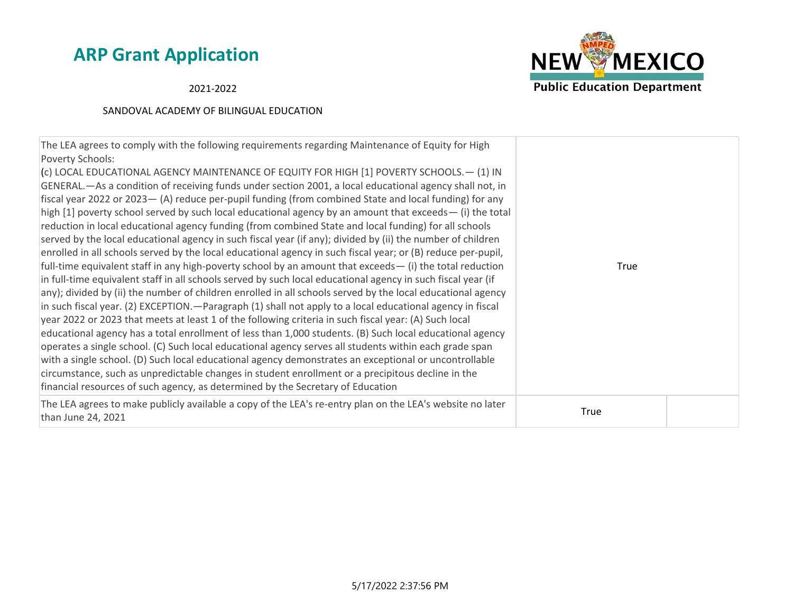

2021-2022

| The LEA agrees to comply with the following requirements regarding Maintenance of Equity for High<br>Poverty Schools:<br>(c) LOCAL EDUCATIONAL AGENCY MAINTENANCE OF EQUITY FOR HIGH [1] POVERTY SCHOOLS. - (1) IN<br>GENERAL.—As a condition of receiving funds under section 2001, a local educational agency shall not, in<br>fiscal year 2022 or 2023 - (A) reduce per-pupil funding (from combined State and local funding) for any<br>high [1] poverty school served by such local educational agency by an amount that exceeds— (i) the total<br>reduction in local educational agency funding (from combined State and local funding) for all schools<br>served by the local educational agency in such fiscal year (if any); divided by (ii) the number of children<br>enrolled in all schools served by the local educational agency in such fiscal year; or (B) reduce per-pupil,<br>full-time equivalent staff in any high-poverty school by an amount that exceeds $-$ (i) the total reduction<br>in full-time equivalent staff in all schools served by such local educational agency in such fiscal year (if<br>any); divided by (ii) the number of children enrolled in all schools served by the local educational agency<br>in such fiscal year. (2) EXCEPTION. - Paragraph (1) shall not apply to a local educational agency in fiscal<br>year 2022 or 2023 that meets at least 1 of the following criteria in such fiscal year: (A) Such local<br>educational agency has a total enrollment of less than 1,000 students. (B) Such local educational agency<br>operates a single school. (C) Such local educational agency serves all students within each grade span<br>with a single school. (D) Such local educational agency demonstrates an exceptional or uncontrollable<br>circumstance, such as unpredictable changes in student enrollment or a precipitous decline in the<br>financial resources of such agency, as determined by the Secretary of Education | True        |  |
|-------------------------------------------------------------------------------------------------------------------------------------------------------------------------------------------------------------------------------------------------------------------------------------------------------------------------------------------------------------------------------------------------------------------------------------------------------------------------------------------------------------------------------------------------------------------------------------------------------------------------------------------------------------------------------------------------------------------------------------------------------------------------------------------------------------------------------------------------------------------------------------------------------------------------------------------------------------------------------------------------------------------------------------------------------------------------------------------------------------------------------------------------------------------------------------------------------------------------------------------------------------------------------------------------------------------------------------------------------------------------------------------------------------------------------------------------------------------------------------------------------------------------------------------------------------------------------------------------------------------------------------------------------------------------------------------------------------------------------------------------------------------------------------------------------------------------------------------------------------------------------------------------------------------------------------------------------------------------------------------|-------------|--|
| The LEA agrees to make publicly available a copy of the LEA's re-entry plan on the LEA's website no later<br>than June 24, 2021                                                                                                                                                                                                                                                                                                                                                                                                                                                                                                                                                                                                                                                                                                                                                                                                                                                                                                                                                                                                                                                                                                                                                                                                                                                                                                                                                                                                                                                                                                                                                                                                                                                                                                                                                                                                                                                           | <b>True</b> |  |
|                                                                                                                                                                                                                                                                                                                                                                                                                                                                                                                                                                                                                                                                                                                                                                                                                                                                                                                                                                                                                                                                                                                                                                                                                                                                                                                                                                                                                                                                                                                                                                                                                                                                                                                                                                                                                                                                                                                                                                                           |             |  |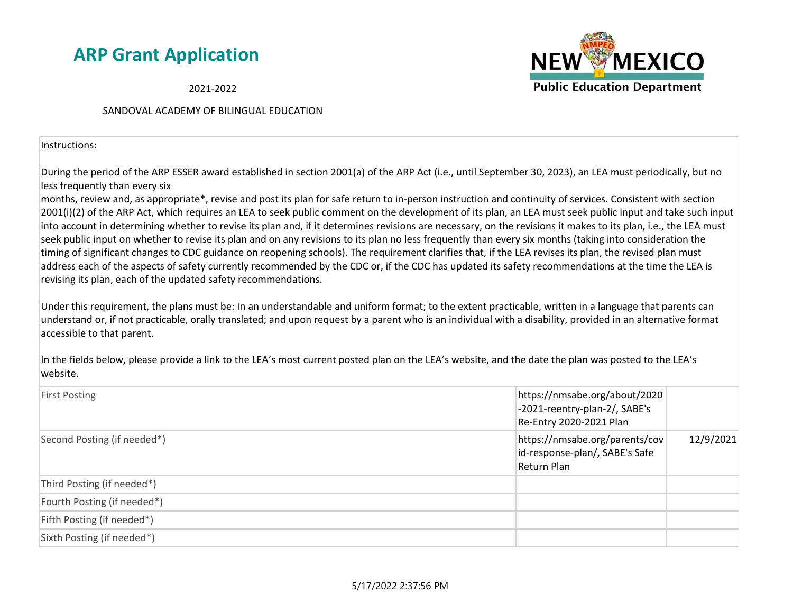2021-2022

### SANDOVAL ACADEMY OF BILINGUAL EDUCATION

Instructions:

During the period of the ARP ESSER award established in section 2001(a) of the ARP Act (i.e., until September 30, 2023), an LEA must periodically, but no less frequently than every six

months, review and, as appropriate\*, revise and post its plan for safe return to in-person instruction and continuity of services. Consistent with section 2001(i)(2) of the ARP Act, which requires an LEA to seek public comment on the development of its plan, an LEA must seek public input and take such input into account in determining whether to revise its plan and, if it determines revisions are necessary, on the revisions it makes to its plan, i.e., the LEA must seek public input on whether to revise its plan and on any revisions to its plan no less frequently than every six months (taking into consideration the timing of significant changes to CDC guidance on reopening schools). The requirement clarifies that, if the LEA revises its plan, the revised plan must address each of the aspects of safety currently recommended by the CDC or, if the CDC has updated its safety recommendations at the time the LEA is revising its plan, each of the updated safety recommendations.

Under this requirement, the plans must be: In an understandable and uniform format; to the extent practicable, written in a language that parents can understand or, if not practicable, orally translated; and upon request by a parent who is an individual with a disability, provided in an alternative format accessible to that parent.

In the fields below, please provide a link to the LEA's most current posted plan on the LEA's website, and the date the plan was posted to the LEA's website.

| <b>First Posting</b>        | https://nmsabe.org/about/2020<br>-2021-reentry-plan-2/, SABE's<br>Re-Entry 2020-2021 Plan |           |
|-----------------------------|-------------------------------------------------------------------------------------------|-----------|
| Second Posting (if needed*) | https://nmsabe.org/parents/cov<br>id-response-plan/, SABE's Safe<br>Return Plan           | 12/9/2021 |
| Third Posting (if needed*)  |                                                                                           |           |
| Fourth Posting (if needed*) |                                                                                           |           |
| Fifth Posting (if needed*)  |                                                                                           |           |
| Sixth Posting (if needed*)  |                                                                                           |           |

5/17/2022 2:37:56 PM